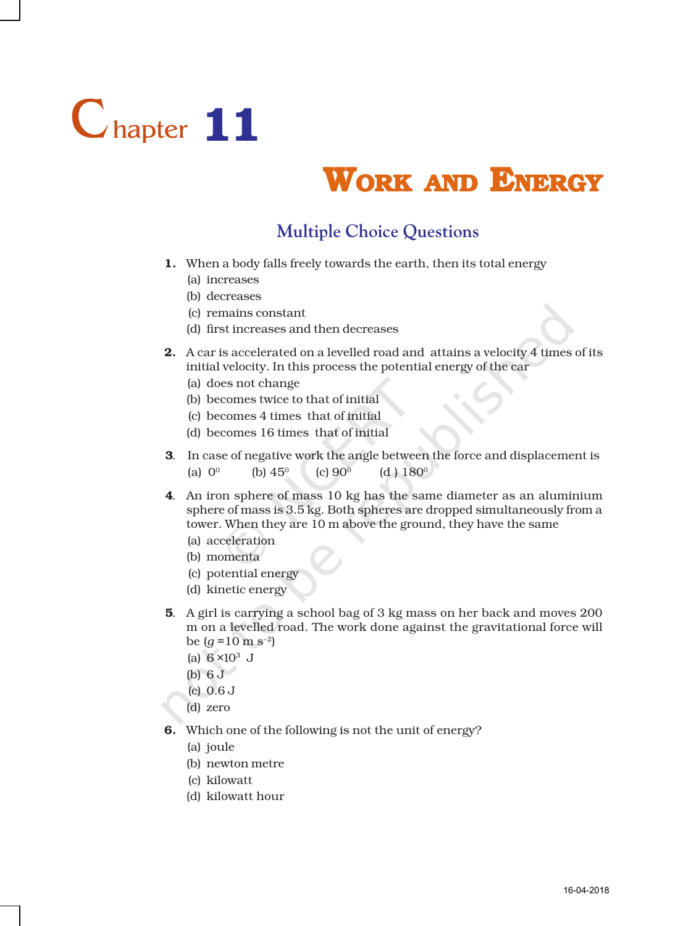

## **WORK AND ENERGY**

## **Multiple Choice Questions**

- 1. When a body falls freely towards the earth, then its total energy
	- (a) increases
	- (b) decreases
	- (c) remains constant
	- (d) first increases and then decreases
- 2. A car is accelerated on a levelled road and attains a velocity 4 times of its initial velocity. In this process the potential energy of the car
	- (a) does not change
	- (b) becomes twice to that of initial
	- (c) becomes 4 times that of initial
	- (d) becomes 16 times that of initial
- 3. In case of negative work the angle between the force and displacement is (a)  $0^0$  (b)  $45^0$  (c)  $90^0$  (d)  $180^0$
- 4. An iron sphere of mass 10 kg has the same diameter as an aluminium sphere of mass is 3.5 kg. Both spheres are dropped simultaneously from a tower. When they are 10 m above the ground, they have the same
	- (a) acceleration
	- (b) momenta
	- (c) potential energy
	- (d) kinetic energy
- 5. A girl is carrying a school bag of 3 kg mass on her back and moves 200 m on a levelled road. The work done against the gravitational force will be  $(q = 10 \text{ m s}^{-2})$ 
	- (a)  $6 \times 10^3$  J
	- (b) 6 J
	- (c) 0.6 J
	- (d) zero
- 6. Which one of the following is not the unit of energy?
	- (a) joule
	- (b) newton metre
	- (c) kilowatt
	- (d) kilowatt hour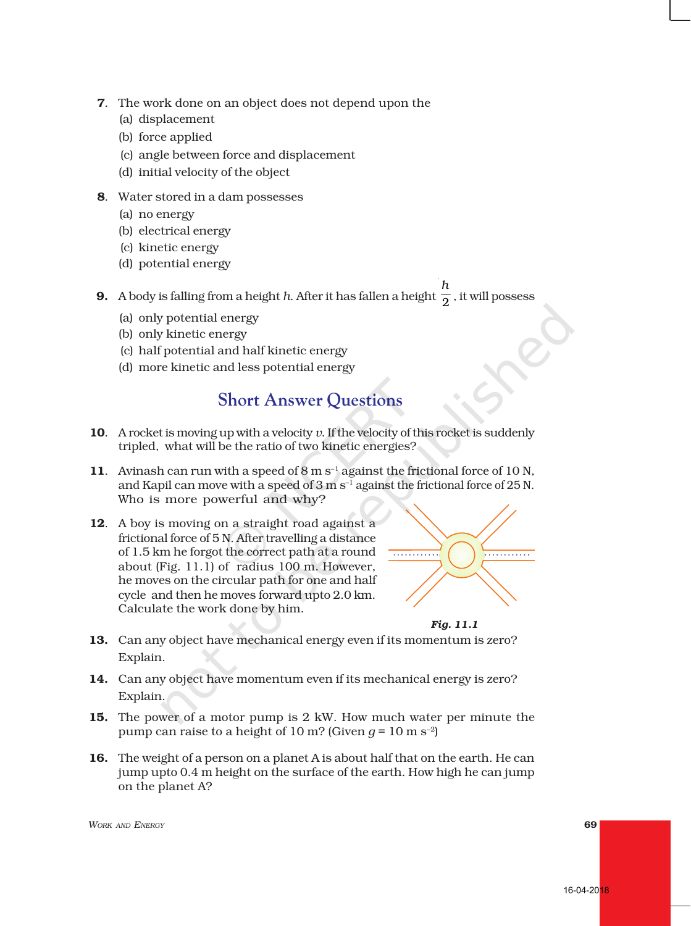- 7. The work done on an object does not depend upon the
	- (a) displacement
	- (b) force applied
	- (c) angle between force and displacement
	- (d) initial velocity of the object
- 8. Water stored in a dam possesses
	- (a) no energy
	- (b) electrical energy
	- (c) kinetic energy
	- (d) potential energy

9. A body is falling from a height *h*. After it has fallen a height *h*  $\overline{2}$  , it will possess

- (a) only potential energy
- (b) only kinetic energy
- (c) half potential and half kinetic energy
- (d) more kinetic and less potential energy

## **Short Answer Questions**

- 10. A rocket is moving up with a velocity *v*. If the velocity of this rocket is suddenly tripled, what will be the ratio of two kinetic energies?
- 11. Avinash can run with a speed of  $8 \text{ m s}^{-1}$  against the frictional force of 10 N, and Kapil can move with a speed of 3 m s<sup>-1</sup> against the frictional force of 25 N. Who is more powerful and why?
- 12. A boy is moving on a straight road against a frictional force of 5 N. After travelling a distance of 1.5 km he forgot the correct path at a round about (Fig. 11.1) of radius 100 m. However, he moves on the circular path for one and half cycle and then he moves forward upto 2.0 km. Calculate the work done by him.





- 13. Can any object have mechanical energy even if its momentum is zero? Explain.
- 14. Can any object have momentum even if its mechanical energy is zero? Explain.
- 15. The power of a motor pump is 2 kW. How much water per minute the pump can raise to a height of 10 m? (Given  $q = 10$  m s<sup>-2</sup>)
- 16. The weight of a person on a planet A is about half that on the earth. He can jump upto 0.4 m height on the surface of the earth. How high he can jump on the planet A?

*WORK AND ENERGY* 69